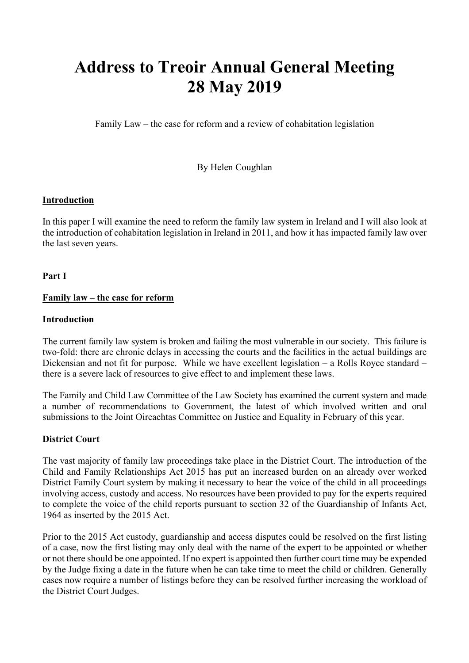# **Address to Treoir Annual General Meeting 28 May 2019**

Family Law – the case for reform and a review of cohabitation legislation

## By Helen Coughlan

#### **Introduction**

In this paper I will examine the need to reform the family law system in Ireland and I will also look at the introduction of cohabitation legislation in Ireland in 2011, and how it has impacted family law over the last seven years.

**Part I**

#### **Family law – the case for reform**

#### **Introduction**

The current family law system is broken and failing the most vulnerable in our society. This failure is two-fold: there are chronic delays in accessing the courts and the facilities in the actual buildings are Dickensian and not fit for purpose. While we have excellent legislation – a Rolls Royce standard – there is a severe lack of resources to give effect to and implement these laws.

The Family and Child Law Committee of the Law Society has examined the current system and made a number of recommendations to Government, the latest of which involved written and oral submissions to the Joint Oireachtas Committee on Justice and Equality in February of this year.

## **District Court**

The vast majority of family law proceedings take place in the District Court. The introduction of the Child and Family Relationships Act 2015 has put an increased burden on an already over worked District Family Court system by making it necessary to hear the voice of the child in all proceedings involving access, custody and access. No resources have been provided to pay for the experts required to complete the voice of the child reports pursuant to section 32 of the Guardianship of Infants Act, 1964 as inserted by the 2015 Act.

Prior to the 2015 Act custody, guardianship and access disputes could be resolved on the first listing of a case, now the first listing may only deal with the name of the expert to be appointed or whether or not there should be one appointed. If no expert is appointed then further court time may be expended by the Judge fixing a date in the future when he can take time to meet the child or children. Generally cases now require a number of listings before they can be resolved further increasing the workload of the District Court Judges.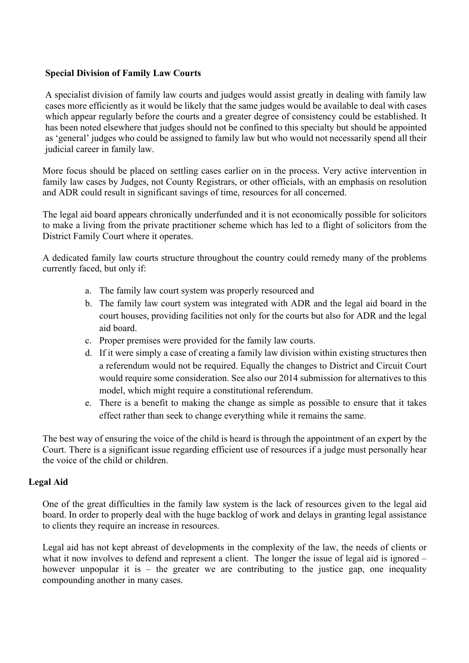## **Special Division of Family Law Courts**

A specialist division of family law courts and judges would assist greatly in dealing with family law cases more efficiently as it would be likely that the same judges would be available to deal with cases which appear regularly before the courts and a greater degree of consistency could be established. It has been noted elsewhere that judges should not be confined to this specialty but should be appointed as 'general' judges who could be assigned to family law but who would not necessarily spend all their judicial career in family law.

More focus should be placed on settling cases earlier on in the process. Very active intervention in family law cases by Judges, not County Registrars, or other officials, with an emphasis on resolution and ADR could result in significant savings of time, resources for all concerned.

The legal aid board appears chronically underfunded and it is not economically possible for solicitors to make a living from the private practitioner scheme which has led to a flight of solicitors from the District Family Court where it operates.

A dedicated family law courts structure throughout the country could remedy many of the problems currently faced, but only if:

- a. The family law court system was properly resourced and
- b. The family law court system was integrated with ADR and the legal aid board in the court houses, providing facilities not only for the courts but also for ADR and the legal aid board.
- c. Proper premises were provided for the family law courts.
- d. If it were simply a case of creating a family law division within existing structures then a referendum would not be required. Equally the changes to District and Circuit Court would require some consideration. See also our 2014 submission for alternatives to this model, which might require a constitutional referendum.
- e. There is a benefit to making the change as simple as possible to ensure that it takes effect rather than seek to change everything while it remains the same.

The best way of ensuring the voice of the child is heard is through the appointment of an expert by the Court. There is a significant issue regarding efficient use of resources if a judge must personally hear the voice of the child or children.

#### **Legal Aid**

One of the great difficulties in the family law system is the lack of resources given to the legal aid board. In order to properly deal with the huge backlog of work and delays in granting legal assistance to clients they require an increase in resources.

Legal aid has not kept abreast of developments in the complexity of the law, the needs of clients or what it now involves to defend and represent a client. The longer the issue of legal aid is ignored – however unpopular it is  $-$  the greater we are contributing to the justice gap, one inequality compounding another in many cases.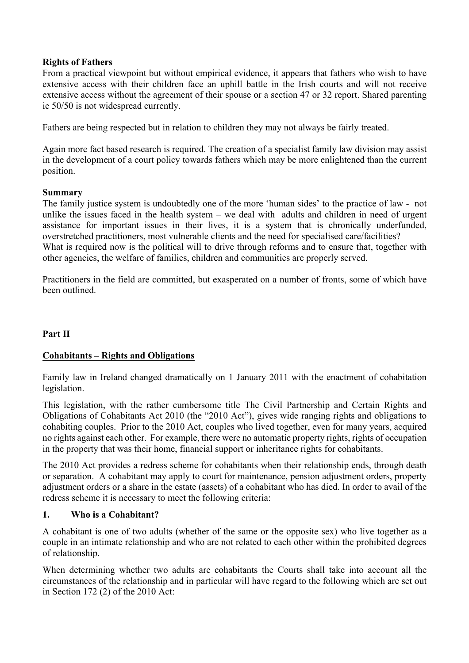#### **Rights of Fathers**

From a practical viewpoint but without empirical evidence, it appears that fathers who wish to have extensive access with their children face an uphill battle in the Irish courts and will not receive extensive access without the agreement of their spouse or a section 47 or 32 report. Shared parenting ie 50/50 is not widespread currently.

Fathers are being respected but in relation to children they may not always be fairly treated.

Again more fact based research is required. The creation of a specialist family law division may assist in the development of a court policy towards fathers which may be more enlightened than the current position.

#### **Summary**

The family justice system is undoubtedly one of the more 'human sides' to the practice of law - not unlike the issues faced in the health system – we deal with adults and children in need of urgent assistance for important issues in their lives, it is a system that is chronically underfunded, overstretched practitioners, most vulnerable clients and the need for specialised care/facilities? What is required now is the political will to drive through reforms and to ensure that, together with other agencies, the welfare of families, children and communities are properly served.

Practitioners in the field are committed, but exasperated on a number of fronts, some of which have been outlined.

# **Part II**

## **Cohabitants – Rights and Obligations**

Family law in Ireland changed dramatically on 1 January 2011 with the enactment of cohabitation legislation.

This legislation, with the rather cumbersome title The Civil Partnership and Certain Rights and Obligations of Cohabitants Act 2010 (the "2010 Act"), gives wide ranging rights and obligations to cohabiting couples. Prior to the 2010 Act, couples who lived together, even for many years, acquired no rights against each other. For example, there were no automatic property rights, rights of occupation in the property that was their home, financial support or inheritance rights for cohabitants.

The 2010 Act provides a redress scheme for cohabitants when their relationship ends, through death or separation. A cohabitant may apply to court for maintenance, pension adjustment orders, property adjustment orders or a share in the estate (assets) of a cohabitant who has died. In order to avail of the redress scheme it is necessary to meet the following criteria:

## **1. Who is a Cohabitant?**

A cohabitant is one of two adults (whether of the same or the opposite sex) who live together as a couple in an intimate relationship and who are not related to each other within the prohibited degrees of relationship.

When determining whether two adults are cohabitants the Courts shall take into account all the circumstances of the relationship and in particular will have regard to the following which are set out in Section 172 (2) of the 2010 Act: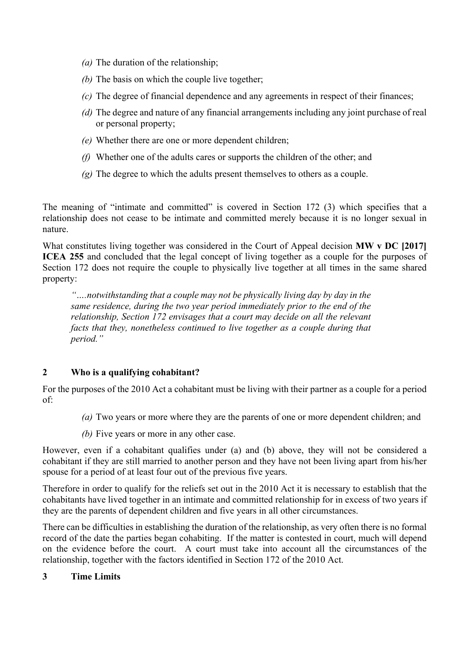- *(a)* The duration of the relationship;
- *(b)* The basis on which the couple live together;
- *(c)* The degree of financial dependence and any agreements in respect of their finances;
- *(d)* The degree and nature of any financial arrangements including any joint purchase of real or personal property;
- *(e)* Whether there are one or more dependent children;
- *(f)* Whether one of the adults cares or supports the children of the other; and
- *(g)* The degree to which the adults present themselves to others as a couple.

The meaning of "intimate and committed" is covered in Section 172 (3) which specifies that a relationship does not cease to be intimate and committed merely because it is no longer sexual in nature.

What constitutes living together was considered in the Court of Appeal decision **MW v DC** [2017] **ICEA 255** and concluded that the legal concept of living together as a couple for the purposes of Section 172 does not require the couple to physically live together at all times in the same shared property:

*"….notwithstanding that a couple may not be physically living day by day in the same residence, during the two year period immediately prior to the end of the relationship, Section 172 envisages that a court may decide on all the relevant facts that they, nonetheless continued to live together as a couple during that period."*

## **2 Who is a qualifying cohabitant?**

For the purposes of the 2010 Act a cohabitant must be living with their partner as a couple for a period of:

- *(a)* Two years or more where they are the parents of one or more dependent children; and
- *(b)* Five years or more in any other case.

However, even if a cohabitant qualifies under (a) and (b) above, they will not be considered a cohabitant if they are still married to another person and they have not been living apart from his/her spouse for a period of at least four out of the previous five years.

Therefore in order to qualify for the reliefs set out in the 2010 Act it is necessary to establish that the cohabitants have lived together in an intimate and committed relationship for in excess of two years if they are the parents of dependent children and five years in all other circumstances.

There can be difficulties in establishing the duration of the relationship, as very often there is no formal record of the date the parties began cohabiting. If the matter is contested in court, much will depend on the evidence before the court. A court must take into account all the circumstances of the relationship, together with the factors identified in Section 172 of the 2010 Act.

## **3 Time Limits**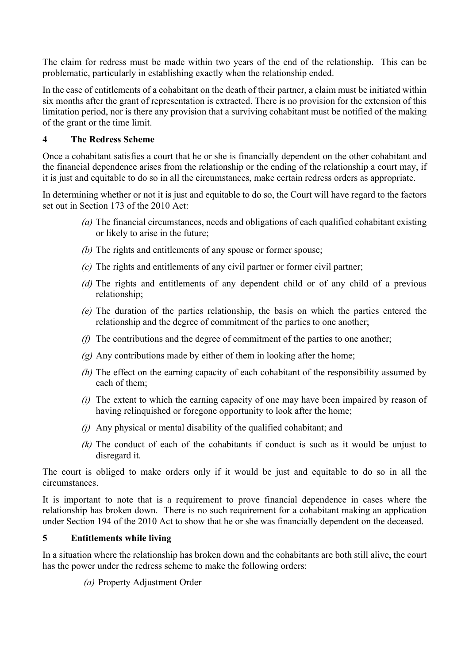The claim for redress must be made within two years of the end of the relationship. This can be problematic, particularly in establishing exactly when the relationship ended.

In the case of entitlements of a cohabitant on the death of their partner, a claim must be initiated within six months after the grant of representation is extracted. There is no provision for the extension of this limitation period, nor is there any provision that a surviving cohabitant must be notified of the making of the grant or the time limit.

# **4 The Redress Scheme**

Once a cohabitant satisfies a court that he or she is financially dependent on the other cohabitant and the financial dependence arises from the relationship or the ending of the relationship a court may, if it is just and equitable to do so in all the circumstances, make certain redress orders as appropriate.

In determining whether or not it is just and equitable to do so, the Court will have regard to the factors set out in Section 173 of the 2010 Act:

- *(a)* The financial circumstances, needs and obligations of each qualified cohabitant existing or likely to arise in the future;
- *(b)* The rights and entitlements of any spouse or former spouse;
- *(c)* The rights and entitlements of any civil partner or former civil partner;
- *(d)* The rights and entitlements of any dependent child or of any child of a previous relationship;
- *(e)* The duration of the parties relationship, the basis on which the parties entered the relationship and the degree of commitment of the parties to one another;
- *(f)* The contributions and the degree of commitment of the parties to one another;
- *(g)* Any contributions made by either of them in looking after the home;
- *(h)* The effect on the earning capacity of each cohabitant of the responsibility assumed by each of them;
- *(i)* The extent to which the earning capacity of one may have been impaired by reason of having relinquished or foregone opportunity to look after the home:
- *(j)* Any physical or mental disability of the qualified cohabitant; and
- *(k)* The conduct of each of the cohabitants if conduct is such as it would be unjust to disregard it.

The court is obliged to make orders only if it would be just and equitable to do so in all the circumstances.

It is important to note that is a requirement to prove financial dependence in cases where the relationship has broken down. There is no such requirement for a cohabitant making an application under Section 194 of the 2010 Act to show that he or she was financially dependent on the deceased.

# **5 Entitlements while living**

In a situation where the relationship has broken down and the cohabitants are both still alive, the court has the power under the redress scheme to make the following orders:

*(a)* Property Adjustment Order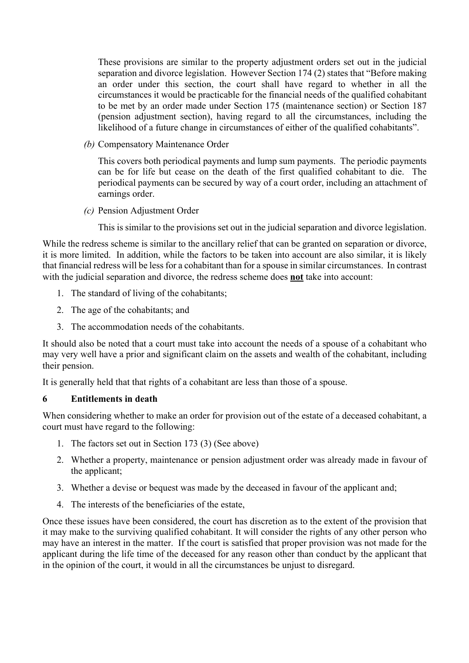These provisions are similar to the property adjustment orders set out in the judicial separation and divorce legislation. However Section 174 (2) states that "Before making an order under this section, the court shall have regard to whether in all the circumstances it would be practicable for the financial needs of the qualified cohabitant to be met by an order made under Section 175 (maintenance section) or Section 187 (pension adjustment section), having regard to all the circumstances, including the likelihood of a future change in circumstances of either of the qualified cohabitants".

*(b)* Compensatory Maintenance Order

This covers both periodical payments and lump sum payments. The periodic payments can be for life but cease on the death of the first qualified cohabitant to die. The periodical payments can be secured by way of a court order, including an attachment of earnings order.

*(c)* Pension Adjustment Order

This is similar to the provisions set out in the judicial separation and divorce legislation.

While the redress scheme is similar to the ancillary relief that can be granted on separation or divorce, it is more limited. In addition, while the factors to be taken into account are also similar, it is likely that financial redress will be less for a cohabitant than for a spouse in similar circumstances. In contrast with the judicial separation and divorce, the redress scheme does **not** take into account:

- 1. The standard of living of the cohabitants;
- 2. The age of the cohabitants; and
- 3. The accommodation needs of the cohabitants.

It should also be noted that a court must take into account the needs of a spouse of a cohabitant who may very well have a prior and significant claim on the assets and wealth of the cohabitant, including their pension.

It is generally held that that rights of a cohabitant are less than those of a spouse.

#### **6 Entitlements in death**

When considering whether to make an order for provision out of the estate of a deceased cohabitant, a court must have regard to the following:

- 1. The factors set out in Section 173 (3) (See above)
- 2. Whether a property, maintenance or pension adjustment order was already made in favour of the applicant;
- 3. Whether a devise or bequest was made by the deceased in favour of the applicant and;
- 4. The interests of the beneficiaries of the estate,

Once these issues have been considered, the court has discretion as to the extent of the provision that it may make to the surviving qualified cohabitant. It will consider the rights of any other person who may have an interest in the matter. If the court is satisfied that proper provision was not made for the applicant during the life time of the deceased for any reason other than conduct by the applicant that in the opinion of the court, it would in all the circumstances be unjust to disregard.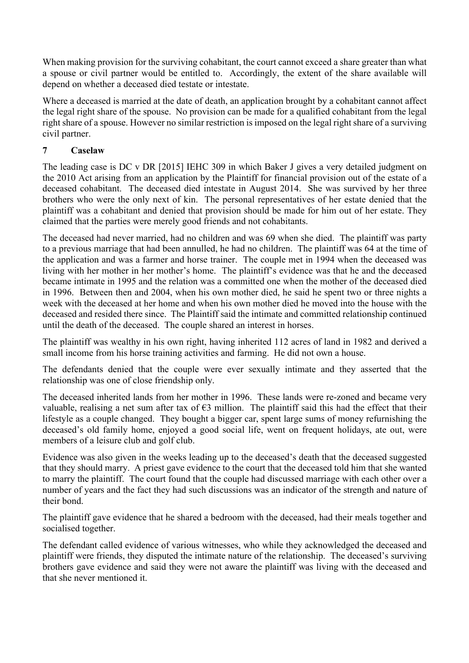When making provision for the surviving cohabitant, the court cannot exceed a share greater than what a spouse or civil partner would be entitled to. Accordingly, the extent of the share available will depend on whether a deceased died testate or intestate.

Where a deceased is married at the date of death, an application brought by a cohabitant cannot affect the legal right share of the spouse. No provision can be made for a qualified cohabitant from the legal right share of a spouse. However no similar restriction is imposed on the legal right share of a surviving civil partner.

# **7 Caselaw**

The leading case is DC v DR [2015] IEHC 309 in which Baker J gives a very detailed judgment on the 2010 Act arising from an application by the Plaintiff for financial provision out of the estate of a deceased cohabitant. The deceased died intestate in August 2014. She was survived by her three brothers who were the only next of kin. The personal representatives of her estate denied that the plaintiff was a cohabitant and denied that provision should be made for him out of her estate. They claimed that the parties were merely good friends and not cohabitants.

The deceased had never married, had no children and was 69 when she died. The plaintiff was party to a previous marriage that had been annulled, he had no children. The plaintiff was 64 at the time of the application and was a farmer and horse trainer. The couple met in 1994 when the deceased was living with her mother in her mother's home. The plaintiff's evidence was that he and the deceased became intimate in 1995 and the relation was a committed one when the mother of the deceased died in 1996. Between then and 2004, when his own mother died, he said he spent two or three nights a week with the deceased at her home and when his own mother died he moved into the house with the deceased and resided there since. The Plaintiff said the intimate and committed relationship continued until the death of the deceased. The couple shared an interest in horses.

The plaintiff was wealthy in his own right, having inherited 112 acres of land in 1982 and derived a small income from his horse training activities and farming. He did not own a house.

The defendants denied that the couple were ever sexually intimate and they asserted that the relationship was one of close friendship only.

The deceased inherited lands from her mother in 1996. These lands were re-zoned and became very valuable, realising a net sum after tax of  $\epsilon$ 3 million. The plaintiff said this had the effect that their lifestyle as a couple changed. They bought a bigger car, spent large sums of money refurnishing the deceased's old family home, enjoyed a good social life, went on frequent holidays, ate out, were members of a leisure club and golf club.

Evidence was also given in the weeks leading up to the deceased's death that the deceased suggested that they should marry. A priest gave evidence to the court that the deceased told him that she wanted to marry the plaintiff. The court found that the couple had discussed marriage with each other over a number of years and the fact they had such discussions was an indicator of the strength and nature of their bond.

The plaintiff gave evidence that he shared a bedroom with the deceased, had their meals together and socialised together.

The defendant called evidence of various witnesses, who while they acknowledged the deceased and plaintiff were friends, they disputed the intimate nature of the relationship. The deceased's surviving brothers gave evidence and said they were not aware the plaintiff was living with the deceased and that she never mentioned it.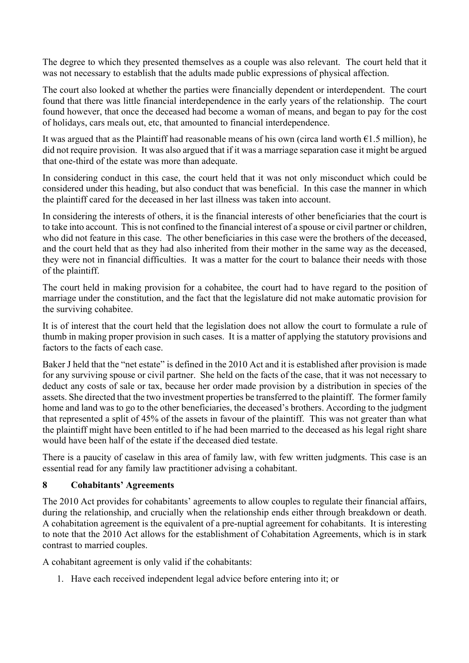The degree to which they presented themselves as a couple was also relevant. The court held that it was not necessary to establish that the adults made public expressions of physical affection.

The court also looked at whether the parties were financially dependent or interdependent. The court found that there was little financial interdependence in the early years of the relationship. The court found however, that once the deceased had become a woman of means, and began to pay for the cost of holidays, cars meals out, etc, that amounted to financial interdependence.

It was argued that as the Plaintiff had reasonable means of his own (circa land worth  $\epsilon$ 1.5 million), he did not require provision. It was also argued that if it was a marriage separation case it might be argued that one-third of the estate was more than adequate.

In considering conduct in this case, the court held that it was not only misconduct which could be considered under this heading, but also conduct that was beneficial. In this case the manner in which the plaintiff cared for the deceased in her last illness was taken into account.

In considering the interests of others, it is the financial interests of other beneficiaries that the court is to take into account. This is not confined to the financial interest of a spouse or civil partner or children, who did not feature in this case. The other beneficiaries in this case were the brothers of the deceased, and the court held that as they had also inherited from their mother in the same way as the deceased, they were not in financial difficulties. It was a matter for the court to balance their needs with those of the plaintiff.

The court held in making provision for a cohabitee, the court had to have regard to the position of marriage under the constitution, and the fact that the legislature did not make automatic provision for the surviving cohabitee.

It is of interest that the court held that the legislation does not allow the court to formulate a rule of thumb in making proper provision in such cases. It is a matter of applying the statutory provisions and factors to the facts of each case.

Baker J held that the "net estate" is defined in the 2010 Act and it is established after provision is made for any surviving spouse or civil partner. She held on the facts of the case, that it was not necessary to deduct any costs of sale or tax, because her order made provision by a distribution in species of the assets. She directed that the two investment properties be transferred to the plaintiff. The former family home and land was to go to the other beneficiaries, the deceased's brothers. According to the judgment that represented a split of 45% of the assets in favour of the plaintiff. This was not greater than what the plaintiff might have been entitled to if he had been married to the deceased as his legal right share would have been half of the estate if the deceased died testate.

There is a paucity of caselaw in this area of family law, with few written judgments. This case is an essential read for any family law practitioner advising a cohabitant.

## **8 Cohabitants' Agreements**

The 2010 Act provides for cohabitants' agreements to allow couples to regulate their financial affairs, during the relationship, and crucially when the relationship ends either through breakdown or death. A cohabitation agreement is the equivalent of a pre-nuptial agreement for cohabitants. It is interesting to note that the 2010 Act allows for the establishment of Cohabitation Agreements, which is in stark contrast to married couples.

A cohabitant agreement is only valid if the cohabitants:

1. Have each received independent legal advice before entering into it; or